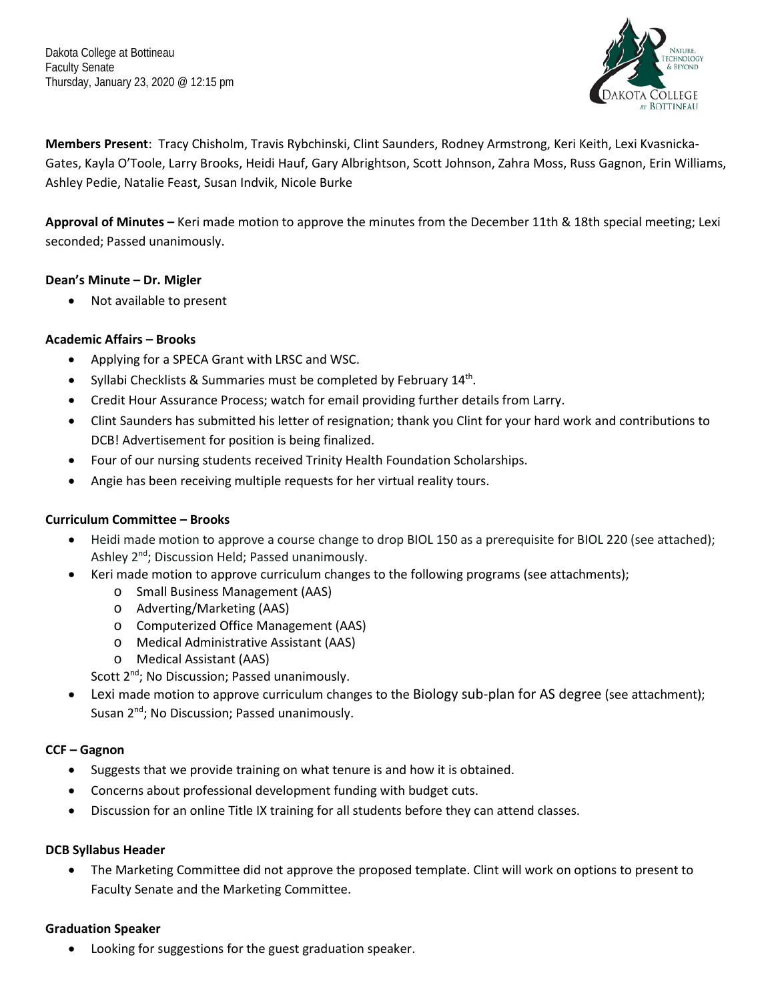Dakota College at Bottineau Faculty Senate Thursday, January 23, 2020 @ 12:15 pm



**Members Present**: Tracy Chisholm, Travis Rybchinski, Clint Saunders, Rodney Armstrong, Keri Keith, Lexi Kvasnicka-Gates, Kayla O'Toole, Larry Brooks, Heidi Hauf, Gary Albrightson, Scott Johnson, Zahra Moss, Russ Gagnon, Erin Williams, Ashley Pedie, Natalie Feast, Susan Indvik, Nicole Burke

**Approval of Minutes –** Keri made motion to approve the minutes from the December 11th & 18th special meeting; Lexi seconded; Passed unanimously.

#### **Dean's Minute – Dr. Migler**

Not available to present

## **Academic Affairs – Brooks**

- Applying for a SPECA Grant with LRSC and WSC.
- Syllabi Checklists & Summaries must be completed by February 14<sup>th</sup>.
- Credit Hour Assurance Process; watch for email providing further details from Larry.
- Clint Saunders has submitted his letter of resignation; thank you Clint for your hard work and contributions to DCB! Advertisement for position is being finalized.
- Four of our nursing students received Trinity Health Foundation Scholarships.
- Angie has been receiving multiple requests for her virtual reality tours.

# **Curriculum Committee – Brooks**

- Heidi made motion to approve a course change to drop BIOL 150 as a prerequisite for BIOL 220 (see attached); Ashley 2<sup>nd</sup>; Discussion Held; Passed unanimously.
- Keri made motion to approve curriculum changes to the following programs (see attachments);
	- o Small Business Management (AAS)
	- o Adverting/Marketing (AAS)
	- o Computerized Office Management (AAS)
	- o Medical Administrative Assistant (AAS)
	- o Medical Assistant (AAS)
	- Scott 2<sup>nd</sup>; No Discussion; Passed unanimously.
- Lexi made motion to approve curriculum changes to the Biology sub-plan for AS degree (see attachment); Susan 2<sup>nd</sup>; No Discussion; Passed unanimously.

#### **CCF – Gagnon**

- Suggests that we provide training on what tenure is and how it is obtained.
- Concerns about professional development funding with budget cuts.
- Discussion for an online Title IX training for all students before they can attend classes.

#### **DCB Syllabus Header**

• The Marketing Committee did not approve the proposed template. Clint will work on options to present to Faculty Senate and the Marketing Committee.

#### **Graduation Speaker**

Looking for suggestions for the guest graduation speaker.